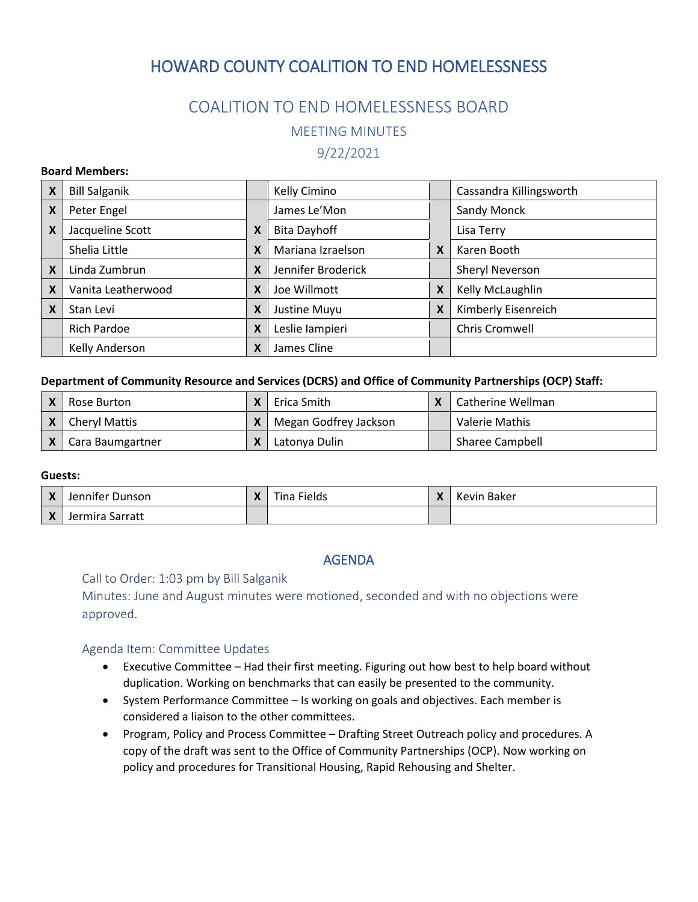## COALITION TO END HOMELESSNESS BOARD

MEETING MINUTES

9/22/2021

#### **Board Members:**

| X | <b>Bill Salganik</b> |   | Kelly Cimino        |   | Cassandra Killingsworth |
|---|----------------------|---|---------------------|---|-------------------------|
| X | Peter Engel          |   | James Le'Mon        |   | Sandy Monck             |
| X | Jacqueline Scott     | X | <b>Bita Dayhoff</b> |   | Lisa Terry              |
|   | Shelia Little        | X | Mariana Izraelson   | X | Karen Booth             |
| X | Linda Zumbrun        | X | Jennifer Broderick  |   | Sheryl Neverson         |
| X | Vanita Leatherwood   | X | Joe Willmott        | X | Kelly McLaughlin        |
| X | Stan Levi            | X | Justine Muyu        | X | Kimberly Eisenreich     |
|   | <b>Rich Pardoe</b>   | X | Leslie lampieri     |   | Chris Cromwell          |
|   | Kelly Anderson       | X | James Cline         |   |                         |

#### **Department of Community Resource and Services (DCRS) and Office of Community Partnerships (OCP) Staff:**

| l Rose Burton    |   | Erica Smith           | Catherine Wellman      |
|------------------|---|-----------------------|------------------------|
| Cheryl Mattis    | X | Megan Godfrey Jackson | Valerie Mathis         |
| Cara Baumgartner | χ | Latonya Dulin         | <b>Sharee Campbell</b> |

#### **Guests:**

| Jennifer Dunson | $\mathbf v$<br>Λ | Fina Fields | Kevin Baker |
|-----------------|------------------|-------------|-------------|
| Jermira Sarratt |                  |             |             |

## AGENDA

#### Call to Order: 1:03 pm by Bill Salganik

Minutes: June and August minutes were motioned, seconded and with no objections were approved.

#### Agenda Item: Committee Updates

- Executive Committee Had their first meeting. Figuring out how best to help board without duplication. Working on benchmarks that can easily be presented to the community.
- System Performance Committee Is working on goals and objectives. Each member is considered a liaison to the other committees.
- Program, Policy and Process Committee Drafting Street Outreach policy and procedures. A copy of the draft was sent to the Office of Community Partnerships (OCP). Now working on policy and procedures for Transitional Housing, Rapid Rehousing and Shelter.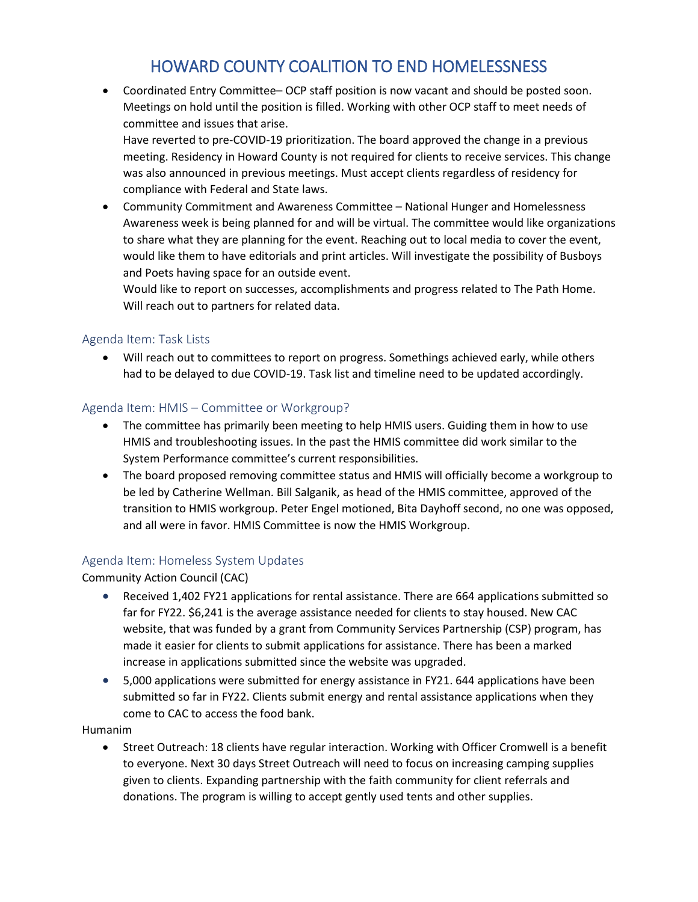• Coordinated Entry Committee– OCP staff position is now vacant and should be posted soon. Meetings on hold until the position is filled. Working with other OCP staff to meet needs of committee and issues that arise.

Have reverted to pre-COVID-19 prioritization. The board approved the change in a previous meeting. Residency in Howard County is not required for clients to receive services. This change was also announced in previous meetings. Must accept clients regardless of residency for compliance with Federal and State laws.

• Community Commitment and Awareness Committee – National Hunger and Homelessness Awareness week is being planned for and will be virtual. The committee would like organizations to share what they are planning for the event. Reaching out to local media to cover the event, would like them to have editorials and print articles. Will investigate the possibility of Busboys and Poets having space for an outside event.

Would like to report on successes, accomplishments and progress related to The Path Home. Will reach out to partners for related data.

### Agenda Item: Task Lists

• Will reach out to committees to report on progress. Somethings achieved early, while others had to be delayed to due COVID-19. Task list and timeline need to be updated accordingly.

### Agenda Item: HMIS – Committee or Workgroup?

- The committee has primarily been meeting to help HMIS users. Guiding them in how to use HMIS and troubleshooting issues. In the past the HMIS committee did work similar to the System Performance committee's current responsibilities.
- The board proposed removing committee status and HMIS will officially become a workgroup to be led by Catherine Wellman. Bill Salganik, as head of the HMIS committee, approved of the transition to HMIS workgroup. Peter Engel motioned, Bita Dayhoff second, no one was opposed, and all were in favor. HMIS Committee is now the HMIS Workgroup.

### Agenda Item: Homeless System Updates

Community Action Council (CAC)

- Received 1,402 FY21 applications for rental assistance. There are 664 applications submitted so far for FY22. \$6,241 is the average assistance needed for clients to stay housed. New CAC website, that was funded by a grant from Community Services Partnership (CSP) program, has made it easier for clients to submit applications for assistance. There has been a marked increase in applications submitted since the website was upgraded.
- 5,000 applications were submitted for energy assistance in FY21. 644 applications have been submitted so far in FY22. Clients submit energy and rental assistance applications when they come to CAC to access the food bank.

Humanim

• Street Outreach: 18 clients have regular interaction. Working with Officer Cromwell is a benefit to everyone. Next 30 days Street Outreach will need to focus on increasing camping supplies given to clients. Expanding partnership with the faith community for client referrals and donations. The program is willing to accept gently used tents and other supplies.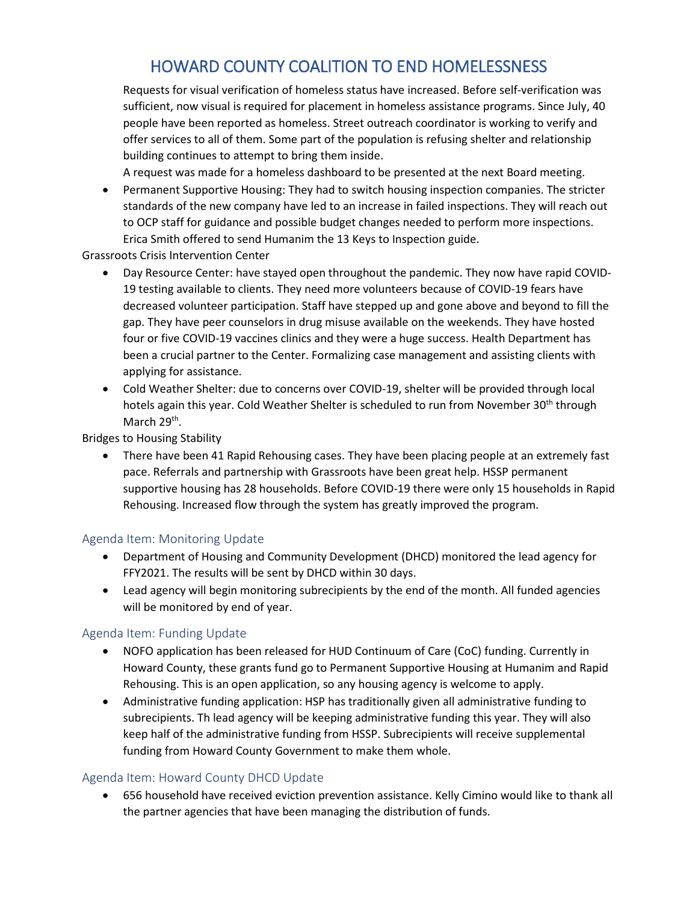Requests for visual verification of homeless status have increased. Before self-verification was sufficient, now visual is required for placement in homeless assistance programs. Since July, 40 people have been reported as homeless. Street outreach coordinator is working to verify and offer services to all of them. Some part of the population is refusing shelter and relationship building continues to attempt to bring them inside.

A request was made for a homeless dashboard to be presented at the next Board meeting.

• Permanent Supportive Housing: They had to switch housing inspection companies. The stricter standards of the new company have led to an increase in failed inspections. They will reach out to OCP staff for guidance and possible budget changes needed to perform more inspections. Erica Smith offered to send Humanim the 13 Keys to Inspection guide.

Grassroots Crisis Intervention Center

- Day Resource Center: have stayed open throughout the pandemic. They now have rapid COVID-19 testing available to clients. They need more volunteers because of COVID-19 fears have decreased volunteer participation. Staff have stepped up and gone above and beyond to fill the gap. They have peer counselors in drug misuse available on the weekends. They have hosted four or five COVID-19 vaccines clinics and they were a huge success. Health Department has been a crucial partner to the Center. Formalizing case management and assisting clients with applying for assistance.
- Cold Weather Shelter: due to concerns over COVID-19, shelter will be provided through local hotels again this year. Cold Weather Shelter is scheduled to run from November 30<sup>th</sup> through March 29<sup>th</sup>.

Bridges to Housing Stability

• There have been 41 Rapid Rehousing cases. They have been placing people at an extremely fast pace. Referrals and partnership with Grassroots have been great help. HSSP permanent supportive housing has 28 households. Before COVID-19 there were only 15 households in Rapid Rehousing. Increased flow through the system has greatly improved the program.

### Agenda Item: Monitoring Update

- Department of Housing and Community Development (DHCD) monitored the lead agency for FFY2021. The results will be sent by DHCD within 30 days.
- Lead agency will begin monitoring subrecipients by the end of the month. All funded agencies will be monitored by end of year.

### Agenda Item: Funding Update

- NOFO application has been released for HUD Continuum of Care (CoC) funding. Currently in Howard County, these grants fund go to Permanent Supportive Housing at Humanim and Rapid Rehousing. This is an open application, so any housing agency is welcome to apply.
- Administrative funding application: HSP has traditionally given all administrative funding to subrecipients. Th lead agency will be keeping administrative funding this year. They will also keep half of the administrative funding from HSSP. Subrecipients will receive supplemental funding from Howard County Government to make them whole.

## Agenda Item: Howard County DHCD Update

• 656 household have received eviction prevention assistance. Kelly Cimino would like to thank all the partner agencies that have been managing the distribution of funds.